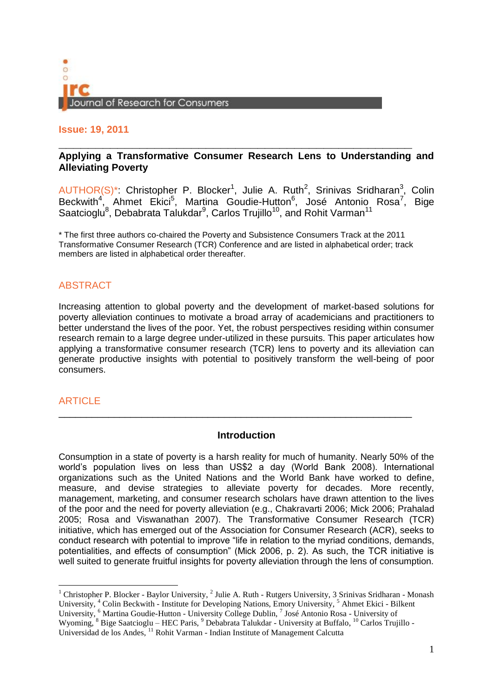

**Issue: 19, 2011**

# **\_\_\_\_\_\_\_\_\_\_\_\_\_\_\_\_\_\_\_\_\_\_\_\_\_\_\_\_\_\_\_\_\_\_\_\_\_\_\_\_\_\_\_\_\_\_\_\_ Applying a Transformative Consumer Research Lens to Understanding and Alleviating Poverty**

 $AUTHOR(S)^*$ : Christopher P. Blocker<sup>1</sup>, Julie A. Ruth<sup>2</sup>, Srinivas Sridharan<sup>3</sup>, Colin Beckwith<sup>4</sup>, Ahmet Ekici<sup>5</sup>, Martina Goudie-Hutton<sup>6</sup>, José Antonio Rosa<sup>7</sup>, Bige Saatcioglu $^8$ , Debabrata Talukdar $^9$ , Carlos Trujillo $^{10}$ , and Rohit Varman $^{11}$ 

\* The first three authors co-chaired the Poverty and Subsistence Consumers Track at the 2011 Transformative Consumer Research (TCR) Conference and are listed in alphabetical order; track members are listed in alphabetical order thereafter.

# ABSTRACT

Increasing attention to global poverty and the development of market-based solutions for poverty alleviation continues to motivate a broad array of academicians and practitioners to better understand the lives of the poor. Yet, the robust perspectives residing within consumer research remain to a large degree under-utilized in these pursuits. This paper articulates how applying a transformative consumer research (TCR) lens to poverty and its alleviation can generate productive insights with potential to positively transform the well-being of poor consumers.

# **ARTICLE**

## **Introduction**

\_\_\_\_\_\_\_\_\_\_\_\_\_\_\_\_\_\_\_\_\_\_\_\_\_\_\_\_\_\_\_\_\_\_\_\_\_\_\_\_\_\_\_\_\_\_\_\_\_\_\_\_\_\_\_\_\_\_\_\_\_\_\_\_

Consumption in a state of poverty is a harsh reality for much of humanity. Nearly 50% of the world's population lives on less than US\$2 a day (World Bank 2008). International organizations such as the United Nations and the World Bank have worked to define, measure, and devise strategies to alleviate poverty for decades. More recently, management, marketing, and consumer research scholars have drawn attention to the lives of the poor and the need for poverty alleviation (e.g., Chakravarti 2006; Mick 2006; Prahalad 2005; Rosa and Viswanathan 2007). The Transformative Consumer Research (TCR) initiative, which has emerged out of the Association for Consumer Research (ACR), seeks to conduct research with potential to improve "life in relation to the myriad conditions, demands, potentialities, and effects of consumption" (Mick 2006, p. 2). As such, the TCR initiative is well suited to generate fruitful insights for poverty alleviation through the lens of consumption.

<sup>&</sup>lt;sup>1</sup> Christopher P. Blocker - Baylor University,  $2$  Julie A. Ruth - Rutgers University, 3 Srinivas Sridharan - Monash University, <sup>4</sup> Colin Beckwith - Institute for Developing Nations, Emory University, <sup>5</sup> Ahmet Ekici - Bilkent University, <sup>6</sup> Martina Goudie-Hutton - University College Dublin, <sup>7</sup> José Antonio Rosa - University of Wyoming, <sup>8</sup> Bige Saatcioglu – HEC Paris, <sup>9</sup> Debabrata Talukdar - University at Buffalo, <sup>10</sup> Carlos Trujillo -Universidad de los Andes, <sup>11</sup> Rohit Varman - Indian Institute of Management Calcutta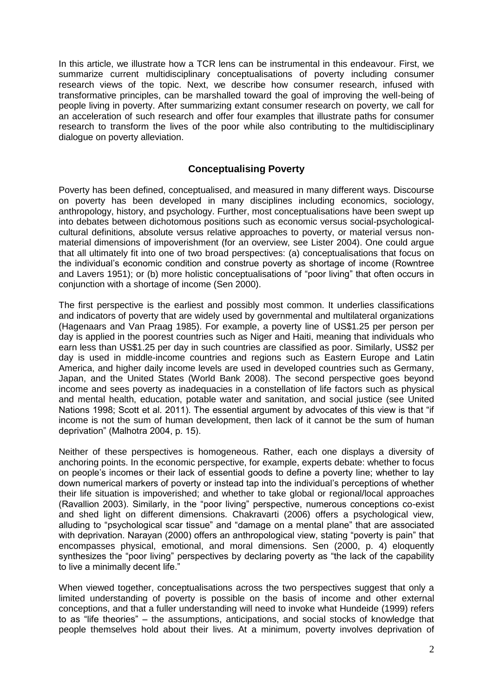In this article, we illustrate how a TCR lens can be instrumental in this endeavour. First, we summarize current multidisciplinary conceptualisations of poverty including consumer research views of the topic. Next, we describe how consumer research, infused with transformative principles, can be marshalled toward the goal of improving the well-being of people living in poverty. After summarizing extant consumer research on poverty, we call for an acceleration of such research and offer four examples that illustrate paths for consumer research to transform the lives of the poor while also contributing to the multidisciplinary dialogue on poverty alleviation.

## **Conceptualising Poverty**

Poverty has been defined, conceptualised, and measured in many different ways. Discourse on poverty has been developed in many disciplines including economics, sociology, anthropology, history, and psychology. Further, most conceptualisations have been swept up into debates between dichotomous positions such as economic versus social-psychologicalcultural definitions, absolute versus relative approaches to poverty, or material versus nonmaterial dimensions of impoverishment (for an overview, see Lister 2004). One could argue that all ultimately fit into one of two broad perspectives: (a) conceptualisations that focus on the individual's economic condition and construe poverty as shortage of income (Rowntree and Lavers 1951); or (b) more holistic conceptualisations of "poor living" that often occurs in conjunction with a shortage of income (Sen 2000).

The first perspective is the earliest and possibly most common. It underlies classifications and indicators of poverty that are widely used by governmental and multilateral organizations (Hagenaars and Van Praag 1985). For example, a poverty line of US\$1.25 per person per day is applied in the poorest countries such as Niger and Haiti, meaning that individuals who earn less than US\$1.25 per day in such countries are classified as poor. Similarly, US\$2 per day is used in middle-income countries and regions such as Eastern Europe and Latin America, and higher daily income levels are used in developed countries such as Germany, Japan, and the United States (World Bank 2008). The second perspective goes beyond income and sees poverty as inadequacies in a constellation of life factors such as physical and mental health, education, potable water and sanitation, and social justice (see United Nations 1998; Scott et al. 2011). The essential argument by advocates of this view is that "if income is not the sum of human development, then lack of it cannot be the sum of human deprivation" (Malhotra 2004, p. 15).

Neither of these perspectives is homogeneous. Rather, each one displays a diversity of anchoring points. In the economic perspective, for example, experts debate: whether to focus on people's incomes or their lack of essential goods to define a poverty line; whether to lay down numerical markers of poverty or instead tap into the individual's perceptions of whether their life situation is impoverished; and whether to take global or regional/local approaches (Ravallion 2003). Similarly, in the "poor living" perspective, numerous conceptions co-exist and shed light on different dimensions. Chakravarti (2006) offers a psychological view, alluding to "psychological scar tissue" and "damage on a mental plane" that are associated with deprivation. Narayan (2000) offers an anthropological view, stating "poverty is pain" that encompasses physical, emotional, and moral dimensions. Sen (2000, p. 4) eloquently synthesizes the "poor living" perspectives by declaring poverty as "the lack of the capability to live a minimally decent life."

When viewed together, conceptualisations across the two perspectives suggest that only a limited understanding of poverty is possible on the basis of income and other external conceptions, and that a fuller understanding will need to invoke what Hundeide (1999) refers to as "life theories" – the assumptions, anticipations, and social stocks of knowledge that people themselves hold about their lives. At a minimum, poverty involves deprivation of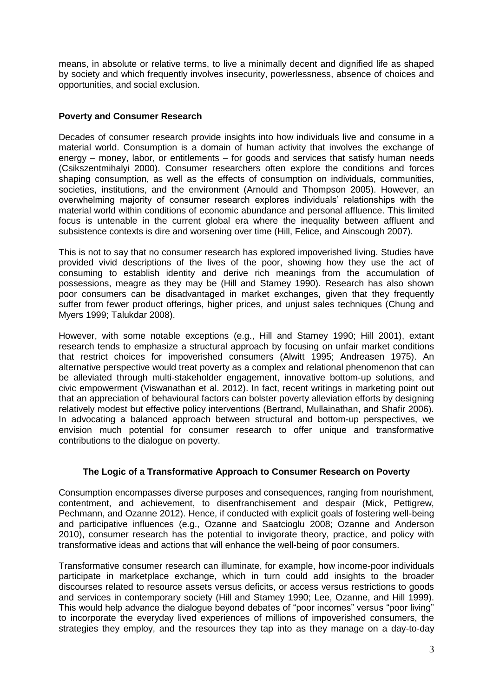means, in absolute or relative terms, to live a minimally decent and dignified life as shaped by society and which frequently involves insecurity, powerlessness, absence of choices and opportunities, and social exclusion.

### **Poverty and Consumer Research**

Decades of consumer research provide insights into how individuals live and consume in a material world. Consumption is a domain of human activity that involves the exchange of energy – money, labor, or entitlements – for goods and services that satisfy human needs (Csikszentmihalyi 2000). Consumer researchers often explore the conditions and forces shaping consumption, as well as the effects of consumption on individuals, communities, societies, institutions, and the environment (Arnould and Thompson 2005). However, an overwhelming majority of consumer research explores individuals' relationships with the material world within conditions of economic abundance and personal affluence. This limited focus is untenable in the current global era where the inequality between affluent and subsistence contexts is dire and worsening over time (Hill, Felice, and Ainscough 2007).

This is not to say that no consumer research has explored impoverished living. Studies have provided vivid descriptions of the lives of the poor, showing how they use the act of consuming to establish identity and derive rich meanings from the accumulation of possessions, meagre as they may be (Hill and Stamey 1990). Research has also shown poor consumers can be disadvantaged in market exchanges, given that they frequently suffer from fewer product offerings, higher prices, and unjust sales techniques (Chung and Myers 1999; Talukdar 2008).

However, with some notable exceptions (e.g., Hill and Stamey 1990; Hill 2001), extant research tends to emphasize a structural approach by focusing on unfair market conditions that restrict choices for impoverished consumers (Alwitt 1995; Andreasen 1975). An alternative perspective would treat poverty as a complex and relational phenomenon that can be alleviated through multi-stakeholder engagement, innovative bottom-up solutions, and civic empowerment (Viswanathan et al. 2012). In fact, recent writings in marketing point out that an appreciation of behavioural factors can bolster poverty alleviation efforts by designing relatively modest but effective policy interventions (Bertrand, Mullainathan, and Shafir 2006). In advocating a balanced approach between structural and bottom-up perspectives, we envision much potential for consumer research to offer unique and transformative contributions to the dialogue on poverty.

## **The Logic of a Transformative Approach to Consumer Research on Poverty**

Consumption encompasses diverse purposes and consequences, ranging from nourishment, contentment, and achievement, to disenfranchisement and despair (Mick, Pettigrew, Pechmann, and Ozanne 2012). Hence, if conducted with explicit goals of fostering well-being and participative influences (e.g., Ozanne and Saatcioglu 2008; Ozanne and Anderson 2010), consumer research has the potential to invigorate theory, practice, and policy with transformative ideas and actions that will enhance the well-being of poor consumers.

Transformative consumer research can illuminate, for example, how income-poor individuals participate in marketplace exchange, which in turn could add insights to the broader discourses related to resource assets versus deficits, or access versus restrictions to goods and services in contemporary society (Hill and Stamey 1990; Lee, Ozanne, and Hill 1999). This would help advance the dialogue beyond debates of "poor incomes" versus "poor living" to incorporate the everyday lived experiences of millions of impoverished consumers, the strategies they employ, and the resources they tap into as they manage on a day-to-day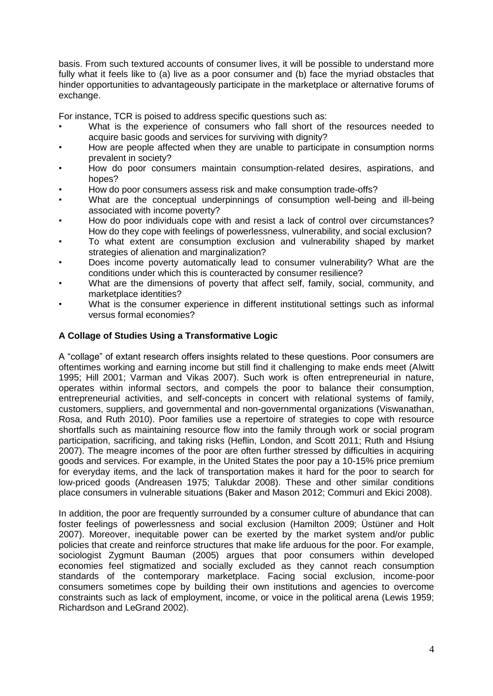basis. From such textured accounts of consumer lives, it will be possible to understand more fully what it feels like to (a) live as a poor consumer and (b) face the myriad obstacles that hinder opportunities to advantageously participate in the marketplace or alternative forums of exchange.

For instance, TCR is poised to address specific questions such as:

- What is the experience of consumers who fall short of the resources needed to acquire basic goods and services for surviving with dignity?
- How are people affected when they are unable to participate in consumption norms prevalent in society?
- How do poor consumers maintain consumption-related desires, aspirations, and hopes?
- How do poor consumers assess risk and make consumption trade-offs?
- What are the conceptual underpinnings of consumption well-being and ill-being associated with income poverty?
- How do poor individuals cope with and resist a lack of control over circumstances? How do they cope with feelings of powerlessness, vulnerability, and social exclusion?
- To what extent are consumption exclusion and vulnerability shaped by market strategies of alienation and marginalization?
- Does income poverty automatically lead to consumer vulnerability? What are the conditions under which this is counteracted by consumer resilience?
- What are the dimensions of poverty that affect self, family, social, community, and marketplace identities?
- What is the consumer experience in different institutional settings such as informal versus formal economies?

### **A Collage of Studies Using a Transformative Logic**

A "collage" of extant research offers insights related to these questions. Poor consumers are oftentimes working and earning income but still find it challenging to make ends meet (Alwitt 1995; Hill 2001; Varman and Vikas 2007). Such work is often entrepreneurial in nature, operates within informal sectors, and compels the poor to balance their consumption, entrepreneurial activities, and self-concepts in concert with relational systems of family, customers, suppliers, and governmental and non-governmental organizations (Viswanathan, Rosa, and Ruth 2010). Poor families use a repertoire of strategies to cope with resource shortfalls such as maintaining resource flow into the family through work or social program participation, sacrificing, and taking risks (Heflin, London, and Scott 2011; Ruth and Hsiung 2007). The meagre incomes of the poor are often further stressed by difficulties in acquiring goods and services. For example, in the United States the poor pay a 10-15% price premium for everyday items, and the lack of transportation makes it hard for the poor to search for low-priced goods (Andreasen 1975; Talukdar 2008). These and other similar conditions place consumers in vulnerable situations (Baker and Mason 2012; Commuri and Ekici 2008).

In addition, the poor are frequently surrounded by a consumer culture of abundance that can foster feelings of powerlessness and social exclusion (Hamilton 2009; Üstüner and Holt 2007). Moreover, inequitable power can be exerted by the market system and/or public policies that create and reinforce structures that make life arduous for the poor. For example, sociologist Zygmunt Bauman (2005) argues that poor consumers within developed economies feel stigmatized and socially excluded as they cannot reach consumption standards of the contemporary marketplace. Facing social exclusion, income-poor consumers sometimes cope by building their own institutions and agencies to overcome constraints such as lack of employment, income, or voice in the political arena (Lewis 1959; Richardson and LeGrand 2002).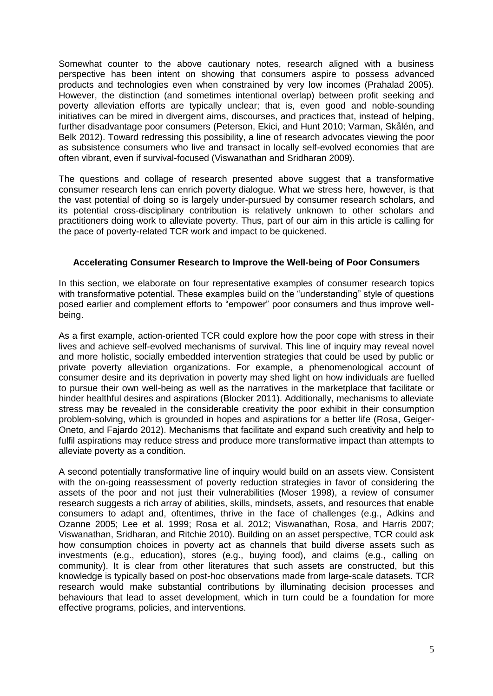Somewhat counter to the above cautionary notes, research aligned with a business perspective has been intent on showing that consumers aspire to possess advanced products and technologies even when constrained by very low incomes (Prahalad 2005). However, the distinction (and sometimes intentional overlap) between profit seeking and poverty alleviation efforts are typically unclear; that is, even good and noble-sounding initiatives can be mired in divergent aims, discourses, and practices that, instead of helping, further disadvantage poor consumers (Peterson, Ekici, and Hunt 2010; Varman, Skålén, and Belk 2012). Toward redressing this possibility, a line of research advocates viewing the poor as subsistence consumers who live and transact in locally self-evolved economies that are often vibrant, even if survival-focused (Viswanathan and Sridharan 2009).

The questions and collage of research presented above suggest that a transformative consumer research lens can enrich poverty dialogue. What we stress here, however, is that the vast potential of doing so is largely under-pursued by consumer research scholars, and its potential cross-disciplinary contribution is relatively unknown to other scholars and practitioners doing work to alleviate poverty. Thus, part of our aim in this article is calling for the pace of poverty-related TCR work and impact to be quickened.

#### **Accelerating Consumer Research to Improve the Well-being of Poor Consumers**

In this section, we elaborate on four representative examples of consumer research topics with transformative potential. These examples build on the "understanding" style of questions posed earlier and complement efforts to "empower" poor consumers and thus improve wellbeing.

As a first example, action-oriented TCR could explore how the poor cope with stress in their lives and achieve self-evolved mechanisms of survival. This line of inquiry may reveal novel and more holistic, socially embedded intervention strategies that could be used by public or private poverty alleviation organizations. For example, a phenomenological account of consumer desire and its deprivation in poverty may shed light on how individuals are fuelled to pursue their own well-being as well as the narratives in the marketplace that facilitate or hinder healthful desires and aspirations (Blocker 2011). Additionally, mechanisms to alleviate stress may be revealed in the considerable creativity the poor exhibit in their consumption problem-solving, which is grounded in hopes and aspirations for a better life (Rosa, Geiger-Oneto, and Fajardo 2012). Mechanisms that facilitate and expand such creativity and help to fulfil aspirations may reduce stress and produce more transformative impact than attempts to alleviate poverty as a condition.

A second potentially transformative line of inquiry would build on an assets view. Consistent with the on-going reassessment of poverty reduction strategies in favor of considering the assets of the poor and not just their vulnerabilities (Moser 1998), a review of consumer research suggests a rich array of abilities, skills, mindsets, assets, and resources that enable consumers to adapt and, oftentimes, thrive in the face of challenges (e.g., Adkins and Ozanne 2005; Lee et al. 1999; Rosa et al. 2012; Viswanathan, Rosa, and Harris 2007; Viswanathan, Sridharan, and Ritchie 2010). Building on an asset perspective, TCR could ask how consumption choices in poverty act as channels that build diverse assets such as investments (e.g., education), stores (e.g., buying food), and claims (e.g., calling on community). It is clear from other literatures that such assets are constructed, but this knowledge is typically based on post-hoc observations made from large-scale datasets. TCR research would make substantial contributions by illuminating decision processes and behaviours that lead to asset development, which in turn could be a foundation for more effective programs, policies, and interventions.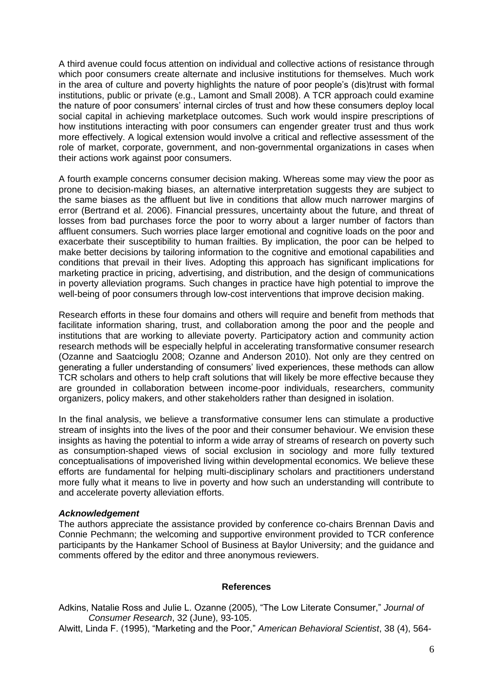A third avenue could focus attention on individual and collective actions of resistance through which poor consumers create alternate and inclusive institutions for themselves. Much work in the area of culture and poverty highlights the nature of poor people's (dis)trust with formal institutions, public or private (e.g., Lamont and Small 2008). A TCR approach could examine the nature of poor consumers' internal circles of trust and how these consumers deploy local social capital in achieving marketplace outcomes. Such work would inspire prescriptions of how institutions interacting with poor consumers can engender greater trust and thus work more effectively. A logical extension would involve a critical and reflective assessment of the role of market, corporate, government, and non-governmental organizations in cases when their actions work against poor consumers.

A fourth example concerns consumer decision making. Whereas some may view the poor as prone to decision-making biases, an alternative interpretation suggests they are subject to the same biases as the affluent but live in conditions that allow much narrower margins of error (Bertrand et al. 2006). Financial pressures, uncertainty about the future, and threat of losses from bad purchases force the poor to worry about a larger number of factors than affluent consumers. Such worries place larger emotional and cognitive loads on the poor and exacerbate their susceptibility to human frailties. By implication, the poor can be helped to make better decisions by tailoring information to the cognitive and emotional capabilities and conditions that prevail in their lives. Adopting this approach has significant implications for marketing practice in pricing, advertising, and distribution, and the design of communications in poverty alleviation programs. Such changes in practice have high potential to improve the well-being of poor consumers through low-cost interventions that improve decision making.

Research efforts in these four domains and others will require and benefit from methods that facilitate information sharing, trust, and collaboration among the poor and the people and institutions that are working to alleviate poverty. Participatory action and community action research methods will be especially helpful in accelerating transformative consumer research (Ozanne and Saatcioglu 2008; Ozanne and Anderson 2010). Not only are they centred on generating a fuller understanding of consumers' lived experiences, these methods can allow TCR scholars and others to help craft solutions that will likely be more effective because they are grounded in collaboration between income-poor individuals, researchers, community organizers, policy makers, and other stakeholders rather than designed in isolation.

In the final analysis, we believe a transformative consumer lens can stimulate a productive stream of insights into the lives of the poor and their consumer behaviour. We envision these insights as having the potential to inform a wide array of streams of research on poverty such as consumption-shaped views of social exclusion in sociology and more fully textured conceptualisations of impoverished living within developmental economics. We believe these efforts are fundamental for helping multi-disciplinary scholars and practitioners understand more fully what it means to live in poverty and how such an understanding will contribute to and accelerate poverty alleviation efforts.

#### *Acknowledgement*

The authors appreciate the assistance provided by conference co-chairs Brennan Davis and Connie Pechmann; the welcoming and supportive environment provided to TCR conference participants by the Hankamer School of Business at Baylor University; and the guidance and comments offered by the editor and three anonymous reviewers.

#### **References**

- Adkins, Natalie Ross and Julie L. Ozanne (2005), "The Low Literate Consumer," *Journal of Consumer Research*, 32 (June), 93-105.
- Alwitt, Linda F. (1995), "Marketing and the Poor," *American Behavioral Scientist*, 38 (4), 564-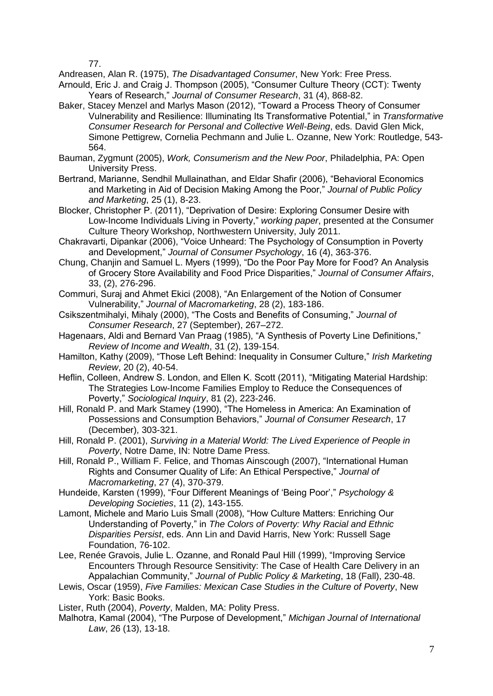77.

Andreasen, Alan R. (1975), *The Disadvantaged Consumer*, New York: Free Press.

- Arnould, Eric J. and Craig J. Thompson (2005), "Consumer Culture Theory (CCT): Twenty Years of Research," *Journal of Consumer Research*, 31 (4), 868-82.
- Baker, Stacey Menzel and Marlys Mason (2012), "Toward a Process Theory of Consumer Vulnerability and Resilience: Illuminating Its Transformative Potential," in *Transformative Consumer Research for Personal and Collective Well-Being*, eds. David Glen Mick, Simone Pettigrew, Cornelia Pechmann and Julie L. Ozanne, New York: Routledge, 543- 564.
- Bauman, Zygmunt (2005), *Work, Consumerism and the New Poor*, Philadelphia, PA: Open University Press.
- Bertrand, Marianne, Sendhil Mullainathan, and Eldar Shafir (2006), "Behavioral Economics and Marketing in Aid of Decision Making Among the Poor," *Journal of Public Policy and Marketing*, 25 (1), 8-23.
- Blocker, Christopher P. (2011), "Deprivation of Desire: Exploring Consumer Desire with Low-Income Individuals Living in Poverty," *working paper*, presented at the Consumer Culture Theory Workshop, Northwestern University, July 2011.
- Chakravarti, Dipankar (2006), "Voice Unheard: The Psychology of Consumption in Poverty and Development," *Journal of Consumer Psychology*, 16 (4), 363-376.
- Chung, Chanjin and Samuel L. Myers (1999), "Do the Poor Pay More for Food? An Analysis of Grocery Store Availability and Food Price Disparities," *Journal of Consumer Affairs*, 33, (2), 276-296.
- Commuri, Suraj and Ahmet Ekici (2008), "An Enlargement of the Notion of Consumer Vulnerability," *Journal of Macromarketing*, 28 (2), 183-186.
- Csikszentmihalyi, Mihaly (2000), "The Costs and Benefits of Consuming," *Journal of Consumer Research*, 27 (September), 267–272.
- Hagenaars, Aldi and Bernard Van Praag (1985), "A Synthesis of Poverty Line Definitions," *Review of Income and Wealth*, 31 (2), 139-154.
- Hamilton, Kathy (2009), "Those Left Behind: Inequality in Consumer Culture," *Irish Marketing Review*, 20 (2), 40-54.
- Heflin, Colleen, Andrew S. London, and Ellen K. Scott (2011), "Mitigating Material Hardship: The Strategies Low-Income Families Employ to Reduce the Consequences of Poverty," *Sociological Inquiry*, 81 (2), 223-246.
- Hill, Ronald P. and Mark Stamey (1990), "The Homeless in America: An Examination of Possessions and Consumption Behaviors," *Journal of Consumer Research*, 17 (December), 303-321.
- Hill, Ronald P. (2001), *Surviving in a Material World: The Lived Experience of People in Poverty*, Notre Dame, IN: Notre Dame Press.
- Hill, Ronald P., William F. Felice, and Thomas Ainscough (2007), "International Human Rights and Consumer Quality of Life: An Ethical Perspective," *Journal of Macromarketing*, 27 (4), 370-379.
- Hundeide, Karsten (1999), "Four Different Meanings of 'Being Poor'," *Psychology & Developing Societies*, 11 (2), 143-155.
- Lamont, Michele and Mario Luis Small (2008), "How Culture Matters: Enriching Our Understanding of Poverty," in *The Colors of Poverty: Why Racial and Ethnic Disparities Persist*, eds. Ann Lin and David Harris, New York: Russell Sage Foundation, 76-102.
- Lee, Renée Gravois, Julie L. Ozanne, and Ronald Paul Hill (1999), "Improving Service Encounters Through Resource Sensitivity: The Case of Health Care Delivery in an Appalachian Community," *Journal of Public Policy & Marketing*, 18 (Fall), 230-48.
- Lewis, Oscar (1959), *Five Families: Mexican Case Studies in the Culture of Poverty*, New York: Basic Books.
- Lister, Ruth (2004), *Poverty*, Malden, MA: Polity Press.
- Malhotra, Kamal (2004), "The Purpose of Development," *Michigan Journal of International Law*, 26 (13), 13-18.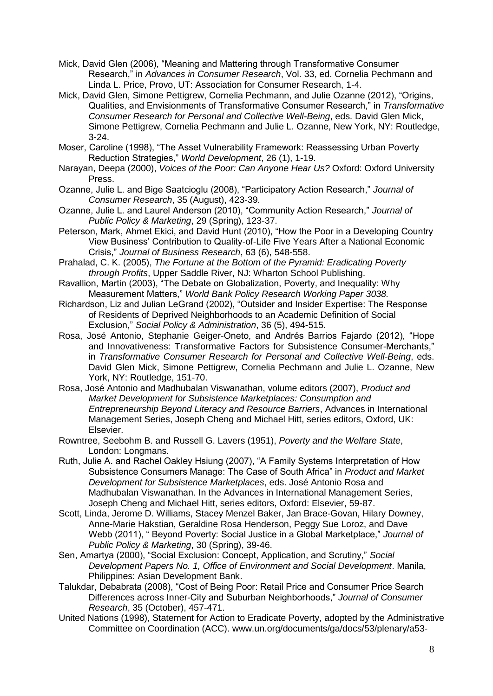- Mick, David Glen (2006), "Meaning and Mattering through Transformative Consumer Research," in *Advances in Consumer Research*, Vol. 33, ed. Cornelia Pechmann and Linda L. Price, Provo, UT: Association for Consumer Research, 1-4.
- Mick, David Glen, Simone Pettigrew, Cornelia Pechmann, and Julie Ozanne (2012), "Origins, Qualities, and Envisionments of Transformative Consumer Research," in *Transformative Consumer Research for Personal and Collective Well-Being*, eds. David Glen Mick, Simone Pettigrew, Cornelia Pechmann and Julie L. Ozanne, New York, NY: Routledge, 3-24.
- Moser, Caroline (1998), "The Asset Vulnerability Framework: Reassessing Urban Poverty Reduction Strategies," *World Development*, 26 (1), 1-19.
- Narayan, Deepa (2000), *Voices of the Poor: Can Anyone Hear Us?* Oxford: Oxford University Press.
- Ozanne, Julie L. and Bige Saatcioglu (2008), "Participatory Action Research," *Journal of Consumer Research*, 35 (August), 423-39.
- Ozanne, Julie L. and Laurel Anderson (2010), "Community Action Research," *Journal of Public Policy & Marketing*, 29 (Spring), 123-37.
- Peterson, Mark, Ahmet Ekici, and David Hunt (2010), "How the Poor in a Developing Country View Business' Contribution to Quality-of-Life Five Years After a National Economic Crisis," *Journal of Business Research*, 63 (6), 548-558.
- Prahalad, C. K. (2005), *The Fortune at the Bottom of the Pyramid: Eradicating Poverty through Profits*, Upper Saddle River, NJ: Wharton School Publishing.
- Ravallion, Martin (2003), "The Debate on Globalization, Poverty, and Inequality: Why Measurement Matters," *World Bank Policy Research Working Paper 3038.*
- Richardson, Liz and Julian LeGrand (2002), "Outsider and Insider Expertise: The Response of Residents of Deprived Neighborhoods to an Academic Definition of Social Exclusion," *Social Policy & Administration*, 36 (5), 494-515.
- Rosa, José Antonio, Stephanie Geiger-Oneto, and Andrés Barrios Fajardo (2012), "Hope and Innovativeness: Transformative Factors for Subsistence Consumer-Merchants," in *Transformative Consumer Research for Personal and Collective Well-Being*, eds. David Glen Mick, Simone Pettigrew, Cornelia Pechmann and Julie L. Ozanne, New York, NY: Routledge, 151-70.
- Rosa, José Antonio and Madhubalan Viswanathan, volume editors (2007), *Product and Market Development for Subsistence Marketplaces: Consumption and Entrepreneurship Beyond Literacy and Resource Barriers*, Advances in International Management Series, Joseph Cheng and Michael Hitt, series editors, Oxford, UK: Elsevier.
- Rowntree, Seebohm B. and Russell G. Lavers (1951), *Poverty and the Welfare State*, London: Longmans.
- Ruth, Julie A. and Rachel Oakley Hsiung (2007), "A Family Systems Interpretation of How Subsistence Consumers Manage: The Case of South Africa" in *Product and Market Development for Subsistence Marketplaces*, eds. José Antonio Rosa and Madhubalan Viswanathan. In the Advances in International Management Series, Joseph Cheng and Michael Hitt, series editors, Oxford: Elsevier, 59-87.
- Scott, Linda, Jerome D. Williams, Stacey Menzel Baker, Jan Brace-Govan, Hilary Downey, Anne-Marie Hakstian, Geraldine Rosa Henderson, Peggy Sue Loroz, and Dave Webb (2011), " Beyond Poverty: Social Justice in a Global Marketplace," *Journal of Public Policy & Marketing*, 30 (Spring), 39-46.
- Sen, Amartya (2000), "Social Exclusion: Concept, Application, and Scrutiny," *Social Development Papers No. 1, Office of Environment and Social Development*. Manila, Philippines: Asian Development Bank.
- Talukdar, Debabrata (2008), "Cost of Being Poor: Retail Price and Consumer Price Search Differences across Inner-City and Suburban Neighborhoods," *Journal of Consumer Research*, 35 (October), 457-471.
- United Nations (1998), Statement for Action to Eradicate Poverty, adopted by the Administrative Committee on Coordination (ACC). www.un.org/documents/ga/docs/53/plenary/a53-